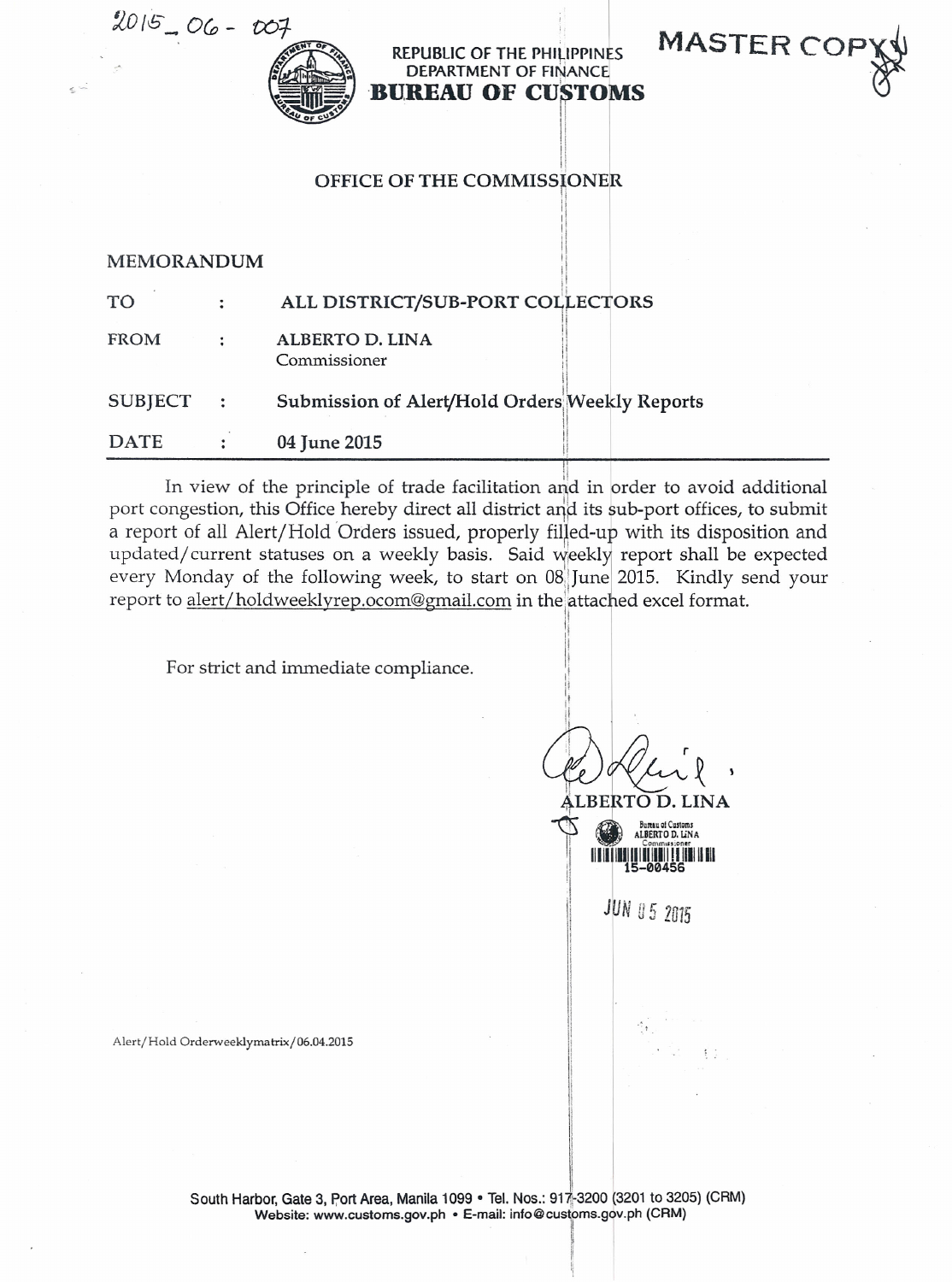$2015 - 06 - 007$ 



REPUBLIC OF THE PHILIPPINES DEPARTMENT OF FINANCE **BUREAU OF CUSTOMS** 

, I

**MASTER CO** 

11 u 'I

> 11 !<br>|<br>| ;, i<br>Indonésia '

> > 11 ŀ  $\mathbf{1}$ **I'm me** 'I I,

> > > '1

**International** 

11 I! **In the out-Manager** 

**I** 

**I**  $\ddot{\phantom{a}}$ 

 $\mathbf{r}$ !!



## MEMORANDUM

| <b>DATE</b>    |                | 04 June 2015                                   |
|----------------|----------------|------------------------------------------------|
| <b>SUBJECT</b> | $\ddot{\cdot}$ | Submission of Alert/Hold Orders Weekly Reports |
| FROM           |                | ALBERTO D. LINA<br>Commissioner                |
| <b>TO</b>      |                | ALL DISTRICT/SUB-PORT COLLECTORS               |

ii In view of the principle of trade facilitation and in order to avoid additiona port congestion, this Office hereby direct all district and its sub-port offices, to submit a report of all Alert/Hold Orders issued, properly filled-up with its disposition and updated/ current statuses on a weekly basis. Said weekly report shall be expected every Monday of the following week, to start on 08 June 2015. Kindly send your report to alert/holdweeklyrep.ocom@gmail.com in the attached excel format.

For strict and immediate compliance.

1 <sup>11</sup> ' Cle Heir  $LBERTO$ 1 <sup>1</sup> ALBE<br>
S ERTO D. L



 $JUN$  *U* 5 2015

 $\mathbb{C}$ 

Alert/Hold Orderweeklymatrix/06.04.2015